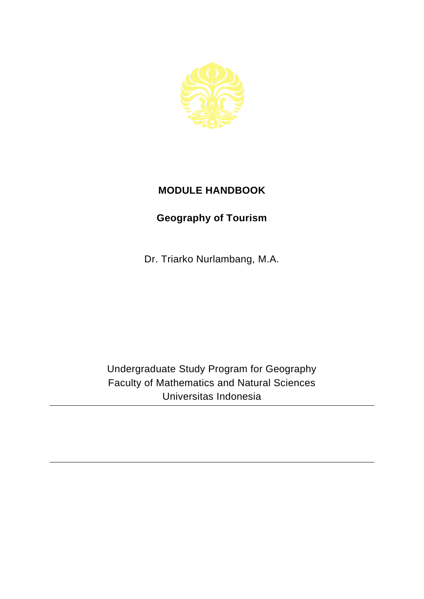

## **MODULE HANDBOOK**

## **Geography of Tourism**

Dr. Triarko Nurlambang, M.A.

Undergraduate Study Program for Geography Faculty of Mathematics and Natural Sciences Universitas Indonesia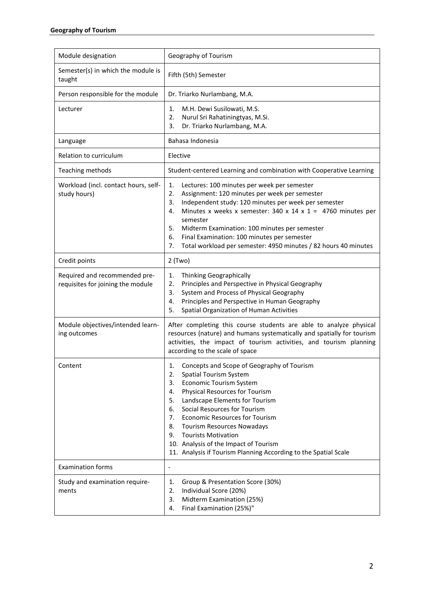| Module designation                                                 | Geography of Tourism                                                                                                                                                                                                                                                                                                                                                                                                                                                                            |
|--------------------------------------------------------------------|-------------------------------------------------------------------------------------------------------------------------------------------------------------------------------------------------------------------------------------------------------------------------------------------------------------------------------------------------------------------------------------------------------------------------------------------------------------------------------------------------|
| Semester(s) in which the module is<br>taught                       | Fifth (5th) Semester                                                                                                                                                                                                                                                                                                                                                                                                                                                                            |
| Person responsible for the module                                  | Dr. Triarko Nurlambang, M.A.                                                                                                                                                                                                                                                                                                                                                                                                                                                                    |
| Lecturer                                                           | M.H. Dewi Susilowati, M.S.<br>1.<br>Nurul Sri Rahatiningtyas, M.Si.<br>2.<br>3.<br>Dr. Triarko Nurlambang, M.A.                                                                                                                                                                                                                                                                                                                                                                                 |
| Language                                                           | Bahasa Indonesia                                                                                                                                                                                                                                                                                                                                                                                                                                                                                |
| Relation to curriculum                                             | Elective                                                                                                                                                                                                                                                                                                                                                                                                                                                                                        |
| Teaching methods                                                   | Student-centered Learning and combination with Cooperative Learning                                                                                                                                                                                                                                                                                                                                                                                                                             |
| Workload (incl. contact hours, self-<br>study hours)               | 1.<br>Lectures: 100 minutes per week per semester<br>2.<br>Assignment: 120 minutes per week per semester<br>Independent study: 120 minutes per week per semester<br>3.<br>Minutes x weeks x semester: $340 \times 14 \times 1 = 4760$ minutes per<br>4.<br>semester<br>5.<br>Midterm Examination: 100 minutes per semester<br>Final Examination: 100 minutes per semester<br>6.<br>7.<br>Total workload per semester: 4950 minutes / 82 hours 40 minutes                                        |
| Credit points                                                      | $2$ (Two)                                                                                                                                                                                                                                                                                                                                                                                                                                                                                       |
| Required and recommended pre-<br>requisites for joining the module | Thinking Geographically<br>1.<br>2.<br>Principles and Perspective in Physical Geography<br>System and Process of Physical Geography<br>3.<br>Principles and Perspective in Human Geography<br>4.<br>Spatial Organization of Human Activities<br>5.                                                                                                                                                                                                                                              |
| Module objectives/intended learn-<br>ing outcomes                  | After completing this course students are able to analyze physical<br>resources (nature) and humans systematically and spatially for tourism<br>activities, the impact of tourism activities, and tourism planning<br>according to the scale of space                                                                                                                                                                                                                                           |
| Content                                                            | Concepts and Scope of Geography of Tourism<br>1.<br><b>Spatial Tourism System</b><br>2.<br><b>Economic Tourism System</b><br>3.<br>Physical Resources for Tourism<br>4.<br>Landscape Elements for Tourism<br>5.<br>Social Resources for Tourism<br>6.<br><b>Economic Resources for Tourism</b><br>7.<br><b>Tourism Resources Nowadays</b><br>8.<br>9.<br><b>Tourists Motivation</b><br>10. Analysis of the Impact of Tourism<br>11. Analysis if Tourism Planning According to the Spatial Scale |
| <b>Examination forms</b>                                           | $\overline{a}$                                                                                                                                                                                                                                                                                                                                                                                                                                                                                  |
| Study and examination require-<br>ments                            | Group & Presentation Score (30%)<br>1.<br>Individual Score (20%)<br>2.<br>3.<br>Midterm Examination (25%)<br>Final Examination (25%)"<br>4.                                                                                                                                                                                                                                                                                                                                                     |